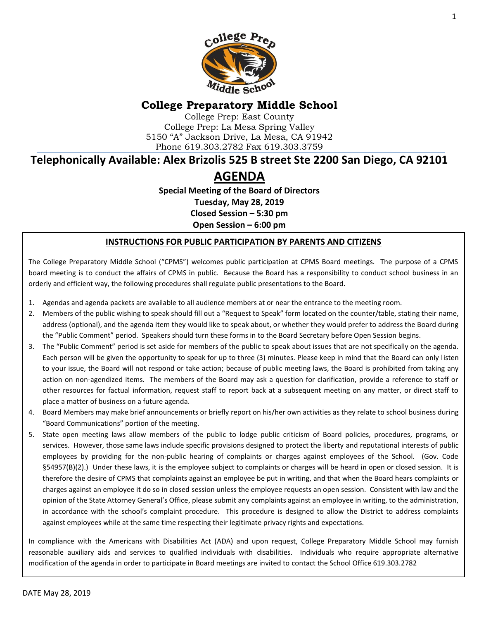

# **College Preparatory Middle School**

College Prep: East County College Prep: La Mesa Spring Valley 5150 "A" Jackson Drive, La Mesa, CA 91942 Phone 619.303.2782 Fax 619.303.3759

# **Telephonically Available: Alex Brizolis 525 B street Ste 2200 San Diego, CA 92101**

# **AGENDA**

**Special Meeting of the Board of Directors Tuesday, May 28, 2019 Closed Session – 5:30 pm Open Session – 6:00 pm**

#### **INSTRUCTIONS FOR PUBLIC PARTICIPATION BY PARENTS AND CITIZENS**

The College Preparatory Middle School ("CPMS") welcomes public participation at CPMS Board meetings. The purpose of a CPMS board meeting is to conduct the affairs of CPMS in public. Because the Board has a responsibility to conduct school business in an orderly and efficient way, the following procedures shall regulate public presentations to the Board.

- 1. Agendas and agenda packets are available to all audience members at or near the entrance to the meeting room.
- 2. Members of the public wishing to speak should fill out a "Request to Speak" form located on the counter/table, stating their name, address (optional), and the agenda item they would like to speak about, or whether they would prefer to address the Board during the "Public Comment" period. Speakers should turn these forms in to the Board Secretary before Open Session begins.
- 3. The "Public Comment" period is set aside for members of the public to speak about issues that are not specifically on the agenda. Each person will be given the opportunity to speak for up to three (3) minutes. Please keep in mind that the Board can only listen to your issue, the Board will not respond or take action; because of public meeting laws, the Board is prohibited from taking any action on non-agendized items. The members of the Board may ask a question for clarification, provide a reference to staff or other resources for factual information, request staff to report back at a subsequent meeting on any matter, or direct staff to place a matter of business on a future agenda.
- 4. Board Members may make brief announcements or briefly report on his/her own activities as they relate to school business during "Board Communications" portion of the meeting.
- 5. State open meeting laws allow members of the public to lodge public criticism of Board policies, procedures, programs, or services. However, those same laws include specific provisions designed to protect the liberty and reputational interests of public employees by providing for the non-public hearing of complaints or charges against employees of the School. (Gov. Code §54957(B)(2).) Under these laws, it is the employee subject to complaints or charges will be heard in open or closed session. It is therefore the desire of CPMS that complaints against an employee be put in writing, and that when the Board hears complaints or charges against an employee it do so in closed session unless the employee requests an open session. Consistent with law and the opinion of the State Attorney General's Office, please submit any complaints against an employee in writing, to the administration, in accordance with the school's complaint procedure. This procedure is designed to allow the District to address complaints against employees while at the same time respecting their legitimate privacy rights and expectations.

In compliance with the Americans with Disabilities Act (ADA) and upon request, College Preparatory Middle School may furnish reasonable auxiliary aids and services to qualified individuals with disabilities. Individuals who require appropriate alternative modification of the agenda in order to participate in Board meetings are invited to contact the School Office 619.303.2782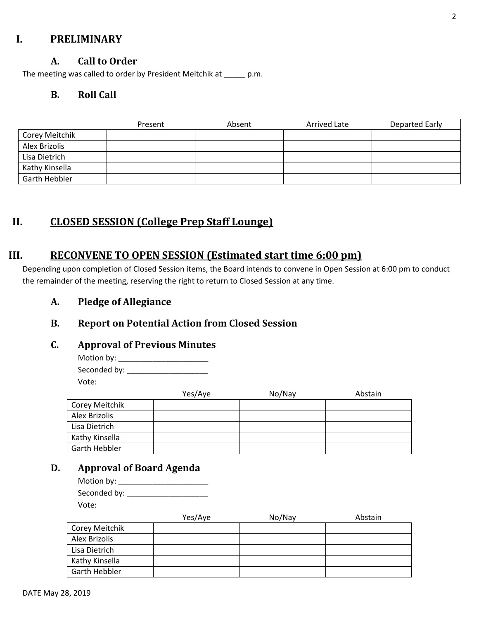### **I. PRELIMINARY**

### **A. Call to Order**

The meeting was called to order by President Meitchik at \_\_\_\_\_ p.m.

### **B. Roll Call**

|                | Present | Absent | Arrived Late | Departed Early |
|----------------|---------|--------|--------------|----------------|
| Corey Meitchik |         |        |              |                |
| Alex Brizolis  |         |        |              |                |
| Lisa Dietrich  |         |        |              |                |
| Kathy Kinsella |         |        |              |                |
| Garth Hebbler  |         |        |              |                |

# **II. CLOSED SESSION (College Prep Staff Lounge)**

### **III. RECONVENE TO OPEN SESSION (Estimated start time 6:00 pm)**

Depending upon completion of Closed Session items, the Board intends to convene in Open Session at 6:00 pm to conduct the remainder of the meeting, reserving the right to return to Closed Session at any time.

**A. Pledge of Allegiance**

### **B. Report on Potential Action from Closed Session**

#### **C. Approval of Previous Minutes**

Motion by: \_\_\_\_\_\_\_\_\_\_\_\_\_\_\_\_\_\_\_\_\_ Seconded by: \_\_\_\_\_\_\_\_\_\_\_\_\_\_\_\_\_\_\_ Vote:

|                | Yes/Aye | No/Nay | Abstain |
|----------------|---------|--------|---------|
| Corey Meitchik |         |        |         |
| Alex Brizolis  |         |        |         |
| Lisa Dietrich  |         |        |         |
| Kathy Kinsella |         |        |         |
| Garth Hebbler  |         |        |         |

### **D. Approval of Board Agenda**

| Motion by:   |  |
|--------------|--|
| Seconded by: |  |
| Vote:        |  |

|                | Yes/Aye | No/Nay | Abstain |
|----------------|---------|--------|---------|
| Corey Meitchik |         |        |         |
| Alex Brizolis  |         |        |         |
| Lisa Dietrich  |         |        |         |
| Kathy Kinsella |         |        |         |
| Garth Hebbler  |         |        |         |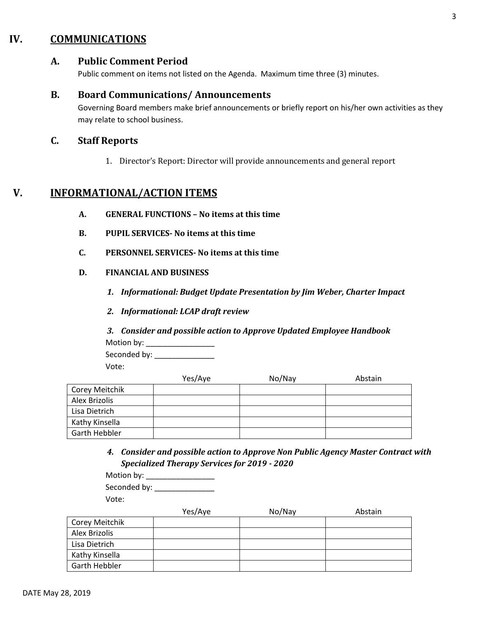### **IV. COMMUNICATIONS**

#### **A. Public Comment Period**

Public comment on items not listed on the Agenda. Maximum time three (3) minutes.

#### **B. Board Communications/ Announcements**

Governing Board members make brief announcements or briefly report on his/her own activities as they may relate to school business.

#### **C. Staff Reports**

1. Director's Report: Director will provide announcements and general report

### **V. INFORMATIONAL/ACTION ITEMS**

- **A. GENERAL FUNCTIONS – No items at this time**
- **B. PUPIL SERVICES- No items at this time**
- **C. PERSONNEL SERVICES- No items at this time**
- **D. FINANCIAL AND BUSINESS**
	- *1. Informational: Budget Update Presentation by Jim Weber, Charter Impact*
	- *2. Informational: LCAP draft review*
	- *3. Consider and possible action to Approve Updated Employee Handbook* Motion by: \_\_\_\_\_\_\_\_\_\_\_\_\_\_\_\_

Seconded by: \_\_\_\_\_\_\_\_\_\_\_\_\_\_\_\_\_\_\_

Vote:

|                | Yes/Aye | No/Nay | Abstain |
|----------------|---------|--------|---------|
| Corey Meitchik |         |        |         |
| Alex Brizolis  |         |        |         |
| Lisa Dietrich  |         |        |         |
| Kathy Kinsella |         |        |         |
| Garth Hebbler  |         |        |         |

*4. Consider and possible action to Approve Non Public Agency Master Contract with Specialized Therapy Services for 2019 - 2020*

| Motion by:   |  |
|--------------|--|
| Seconded by: |  |
| Vote:        |  |

|                | Yes/Aye | No/Nay | Abstain |
|----------------|---------|--------|---------|
| Corey Meitchik |         |        |         |
| Alex Brizolis  |         |        |         |
| Lisa Dietrich  |         |        |         |
| Kathy Kinsella |         |        |         |
| Garth Hebbler  |         |        |         |